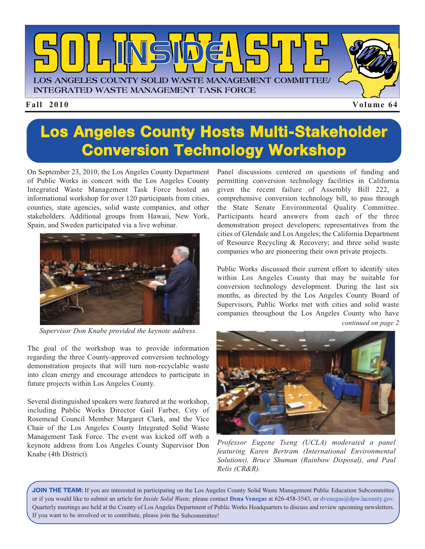

### **Los Angeles County Hosts Multi-Stakeholder Conversion Technology Workshop**

On September 23, 2010, the Los Angeles County Department of Public Works in concert with the Los Angeles County Integrated Waste Management Task Force hosted an informational workshop for over 120 participants from cities, counties, state agencies, solid waste companies, and other stakeholders. Additional groups from Hawaii, New York, Spain, and Sweden participated via a live webinar.



*Supervisor Don Knabe provided the keynote address.*

The goal of the workshop was to provide information regarding the three County-approved conversion technology demonstration projects that will turn non-recyclable waste into clean energy and encourage attendees to participate in future projects within Los Angeles County.

Several distinguished speakers were featured at the workshop, including Public Works Director Gail Farber, City of Rosemead Council Member Margaret Clark, and the Vice Chair of the Los Angeles County Integrated Solid Waste Management Task Force. The event was kicked off with a keynote address from Los Angeles County Supervisor Don Knabe (4th District).

Panel discussions centered on questions of funding and permitting conversion technology facilities in California given the recent failure of Assembly Bill 222, a comprehensive conversion technology bill, to pass through the State Senate Environmental Quality Committee. Participants heard answers from each of the three demonstration project developers; representatives from the cities of Glendale and Los Angeles; the California Department of Resource Recycling & Recovery; and three solid waste companies who are pioneering their own private projects.

Public Works discussed their current effort to identify sites within Los Angeles County that may be suitable for conversion technology development. During the last six months, as directed by the Los Angeles County Board of Supervisors, Public Works met with cities and solid waste companies throughout the Los Angeles County who have

*continued on page 2*



*Professor Eugene Tseng (UCLA) moderated a panel featuring Karen Bertram (International Environmental Solutions), Bruce Shuman (Rainbow Disposal), and Paul Relis (CR&R).*

**JOIN THE TEAM:** If you are interested in participating on the Los Angeles County Solid Waste Management Public Education Subcommittee or if you would like to submit an article for *Inside Solid Waste,* please contact **Dena Venegas** at 626-458-3543, or dvenegas@dpw.lacounty.gov. Quarterly meetings are held at the County of Los Angeles Department of Public Works Headquarters to discuss an[d review upcoming newsletters.](mailto://dvenegas@dpw.lacounty.gov.) If you want to be involved or to contribute, please join the Subcommittee!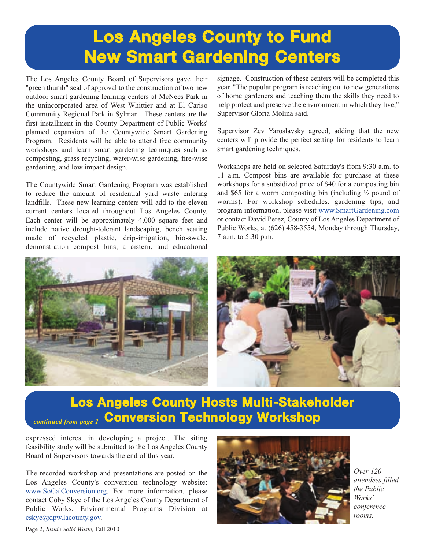## **Los Angeles County to Fund New Smart Gardening Centers**

The Los Angeles County Board of Supervisors gave their "green thumb" seal of approval to the construction of two new outdoor smart gardening learning centers at McNees Park in the unincorporated area of West Whittier and at El Cariso Community Regional Park in Sylmar. These centers are the first installment in the County Department of Public Works' planned expansion of the Countywide Smart Gardening Program. Residents will be able to attend free community workshops and learn smart gardening techniques such as composting, grass recycling, water-wise gardening, fire-wise gardening, and low impact design.

The Countywide Smart Gardening Program was established to reduce the amount of residential yard waste entering landfills. These new learning centers will add to the eleven current centers located throughout Los Angeles County. Each center will be approximately 4,000 square feet and include native drought-tolerant landscaping, bench seating made of recycled plastic, drip-irrigation, bio-swale, demonstration compost bins, a cistern, and educational signage. Construction of these centers will be completed this year. "The popular program is reaching out to new generations of home gardeners and teaching them the skills they need to help protect and preserve the environment in which they live," Supervisor Gloria Molina said.

Supervisor Zev Yaroslavsky agreed, adding that the new centers will provide the perfect setting for residents to learn smart gardening techniques.

Workshops are held on selected Saturday's from 9:30 a.m. to 11 a.m. Compost bins are available for purchase at these workshops for a subsidized price of \$40 for a composting bin and \$65 for a worm composting bin (including  $\frac{1}{2}$  pound of worms). For workshop schedules, gardening tips, and program information, please visit [www.SmartGardening.com](http://www.youtube.com/user/PublicWorksEPD#p/u/9/EpMEatRvp08) or contact David Perez, County of Los Angeles Department of Public Works, at (626) 458-3554, Monday through Thursday, 7 a.m. to 5:30 p.m.



#### **Los Angeles County Hosts Multi-Stakeholder Conversion Technology Workshop** *continued from page 1*

expressed interest in developing a project. The siting feasibility study will be submitted to the Los Angeles County Board of Supervisors towards the end of this year.

The recorded workshop and presentations are posted on the Los Angeles County's conversion technology website: [www.SoCalConversion.org. F](http://www.socalconversion.org/)or more information, please contact Coby Skye of the Los Angeles County Department of Public Works, Environmental Programs Division at [cskye@dpw.lacounty.gov](mailto://cskye@dpw.lacounty.gov).



*Over 120 attendees filled the Public Works' conference rooms.*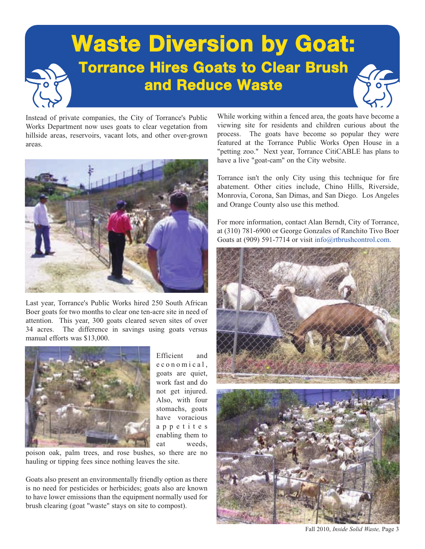

Instead of private companies, the City of Torrance's Public Works Department now uses goats to clear vegetation from hillside areas, reservoirs, vacant lots, and other over-grown areas.



Last year, Torrance's Public Works hired 250 South African Boer goats for two months to clear one ten-acre site in need of attention. This year, 300 goats cleared seven sites of over 34 acres. The difference in savings using goats versus manual efforts was \$13,000.



Efficient and e c o n o m i c a l. goats are quiet, work fast and do not get injured. Also, with four stomachs, goats have voracious a p p e t i t e s enabling them to eat weeds,

poison oak, palm trees, and rose bushes, so there are no hauling or tipping fees since nothing leaves the site.

Goats also present an environmentally friendly option as there is no need for pesticides or herbicides; goats also are known to have lower emissions than the equipment normally used for brush clearing (goat "waste" stays on site to compost).

While working within a fenced area, the goats have become a viewing site for residents and children curious about the process. The goats have become so popular they were featured at the Torrance Public Works Open House in a "petting zoo." Next year, Torrance CitiCABLE has plans to have a live "goat-cam" on the City website.

Torrance isn't the only City using this technique for fire abatement. Other cities include, Chino Hills, Riverside, Monrovia, Corona, San Dimas, and San Diego. Los Angeles and Orange County also use this method.

For more information, contact Alan Berndt, City of Torrance, at (310) 781-6900 or George Gonzales of Ranchito Tivo Boer Goats at (909) 591-7714 or visit [info@rtbrushcontrol.com.](mailto://info@rtbrushcontrol.com)



Fall 2010, *Inside Solid Waste,* Page 3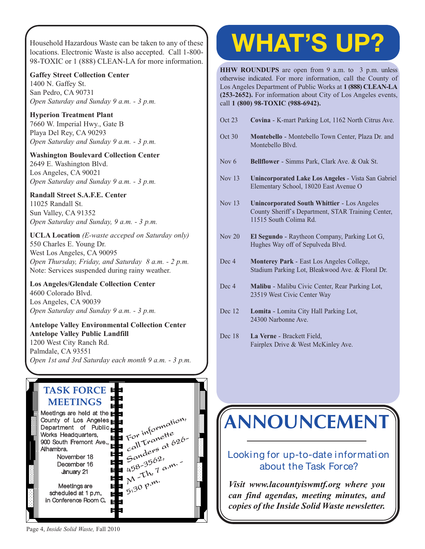Household Hazardous Waste can be taken to any of these [locations. Electronic Waste is also accepted. Call 1-800-](http://www.lacitysan.org/solid_resources/special/hhw/safe_centers/index.htm) 98-TOXIC or 1 (888) CLEAN-LA for more information.

#### **Gaffey Street Collection Center**

1400 N. Gaffey St. San Pedro, CA 90731 *Open Saturday and Sunday 9 a.m. - 3 p.m.*

**Hyperion Treatment Plant** 7660 W. Imperial Hwy., Gate B Playa Del Rey, CA 90293 *Open Saturday and Sunday 9 a.m. - 3 p.m.*

**Washington Boulevard Collection Center** 2649 E. Washington Blvd. Los Angeles, CA 90021 *Open Saturday and Sunday 9 a.m. - 3 p.m.*

#### **Randall Street S.A.F.E. Center**

11025 Randall St. Sun Valley, CA 91352 *Open Saturday and Sunday, 9 a.m. - 3 p.m.*

**UCLA Location** *(E-waste acceped on Saturday only)* 550 Charles E. Young Dr. West Los Angeles, CA 90095 *Open Thursday, Friday, and Saturday 8 a.m. - 2 p.m.* Note: Services suspended during rainy weather.

#### **Los Angeles/Glendale Collection Center**

4600 Colorado Blvd. Los Angeles, CA 90039 *Open Saturday and Sunday 9 a.m. - 3 p.m.*

#### **Antelope Valley Environmental Collection Center Antelope Valley Public Landfill** 1200 West City Ranch Rd. Palmdale, CA 93551

*[Open 1st and 3rd Saturday each month 9 a.m. - 3 p.m.](http://ladpw.org/epd/avecc/index.cfm)*

#### **TASK FORCE MEETINGS**



# **WHAT'S UP?**

**HHW ROUNDUPS** are open from 9 a.m. to 3 p.m. unless otherwise indicated. For more information, call the County of Los Angeles Department of Public Works at **1 (888) CLEAN-LA (253-2652).** For information about City of Los Angeles events, call **1 (800) 98-TOXIC (988-6942).**

- Oct 23 **Covina** K-mart Parking Lot, 1162 North Citrus Ave.
- Oct 30 **Montebello** Montebello Town Center, Plaza Dr. and Montebello Blvd.
- Nov 6 **Bellflower** Simms Park, Clark Ave. & Oak St.
- Nov 13 **Unincorporated Lake Los Angeles** Vista San Gabriel Elementary School, 18020 East Avenue O
- Nov 13 **Unincorporated South Whittier** Los Angeles County Sheriff`s Department, STAR Training Center, 11515 South Colima Rd.
- Nov 20 **El Segundo** Raytheon Company, Parking Lot G, Hughes Way off of Sepulveda Blvd.
- Dec 4 **Monterey Park** East Los Angeles College, Stadium Parking Lot, Bleakwood Ave. & Floral Dr.
- Dec 4 **Malibu** Malibu Civic Center, Rear Parking Lot, 23519 West Civic Center Way
- Dec 12 **Lomita** Lomita City Hall Parking Lot, 24300 Narbonne Ave.
- Dec 18 **La Verne** Brackett Field, Fairplex Drive & West McKinley Ave.

# **[ANNOUNCEMENT](http://dpw.lacounty.gov/epd/tf/)**

#### Looking for up-to-date information about the Task Force?

*Visit www.lacountyiswmtf.org where you can find agendas, meeting minutes, and copies of the Inside Solid Waste newsletter.*

Page 4, *Inside Solid Waste,* Fall 2010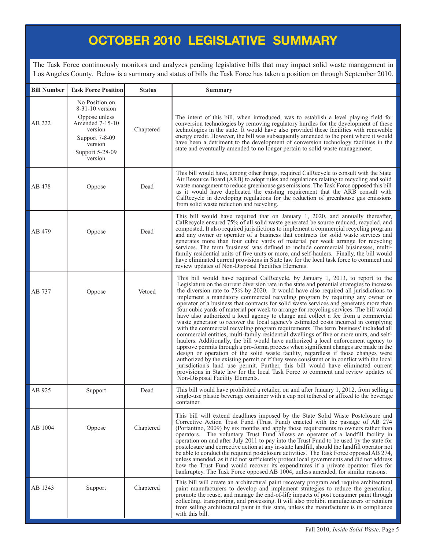#### **OCTOBER 2010 LEGISLATIVE SUMMARY**

The Task Force continuously monitors and analyzes pending legislative bills that may impact solid waste management in Los Angeles County. Below is a summary and status of bills the Task Force has taken a position on through September 2010.

| <b>Bill Number</b> | <b>Task Force Position</b>                                                                                                                    | <b>Status</b> | <b>Summary</b>                                                                                                                                                                                                                                                                                                                                                                                                                                                                                                                                                                                                                                                                                                                                                                                                                                                                                                                                                                                                                                                                                                                                                                                                                                                                                                                                                                                                                                                                          |
|--------------------|-----------------------------------------------------------------------------------------------------------------------------------------------|---------------|-----------------------------------------------------------------------------------------------------------------------------------------------------------------------------------------------------------------------------------------------------------------------------------------------------------------------------------------------------------------------------------------------------------------------------------------------------------------------------------------------------------------------------------------------------------------------------------------------------------------------------------------------------------------------------------------------------------------------------------------------------------------------------------------------------------------------------------------------------------------------------------------------------------------------------------------------------------------------------------------------------------------------------------------------------------------------------------------------------------------------------------------------------------------------------------------------------------------------------------------------------------------------------------------------------------------------------------------------------------------------------------------------------------------------------------------------------------------------------------------|
| AB 222             | No Position on<br>$8-31-10$ version<br>Oppose unless<br>Amended 7-15-10<br>version<br>Support 7-8-09<br>version<br>Support 5-28-09<br>version | Chaptered     | The intent of this bill, when introduced, was to establish a level playing field for<br>conversion technologies by removing regulatory hurdles for the development of these<br>technologies in the state. It would have also provided these facilities with renewable<br>energy credit. However, the bill was subsequently amended to the point where it would<br>have been a detriment to the development of conversion technology facilities in the<br>state and eventually amended to no longer pertain to solid waste management.                                                                                                                                                                                                                                                                                                                                                                                                                                                                                                                                                                                                                                                                                                                                                                                                                                                                                                                                                   |
| AB 478             | Oppose                                                                                                                                        | Dead          | This bill would have, among other things, required CalRecycle to consult with the State<br>Air Resource Board (ARB) to adopt rules and regulations relating to recycling and solid<br>waste management to reduce greenhouse gas emissions. The Task Force opposed this bill<br>as it would have duplicated the existing requirement that the ARB consult with<br>CalRecycle in developing regulations for the reduction of greenhouse gas emissions<br>from solid waste reduction and recycling.                                                                                                                                                                                                                                                                                                                                                                                                                                                                                                                                                                                                                                                                                                                                                                                                                                                                                                                                                                                        |
| AB 479             | Oppose                                                                                                                                        | Dead          | This bill would have required that on January 1, 2020, and annually thereafter,<br>CalRecycle ensured 75% of all solid waste generated be source reduced, recycled, and<br>composted. It also required jurisdictions to implement a commercial recycling program<br>and any owner or operator of a business that contracts for solid waste services and<br>generates more than four cubic yards of material per week arrange for recycling<br>services. The term 'business' was defined to include commercial businesses, multi-<br>family residential units of five units or more, and self-haulers. Finally, the bill would<br>have eliminated current provisions in State law for the local task force to comment and<br>review updates of Non-Disposal Facilities Elements.                                                                                                                                                                                                                                                                                                                                                                                                                                                                                                                                                                                                                                                                                                         |
| AB 737             | Oppose                                                                                                                                        | Vetoed        | This bill would have required CalRecycle, by January 1, 2013, to report to the<br>Legislature on the current diversion rate in the state and potential strategies to increase<br>the diversion rate to 75% by 2020. It would have also required all jurisdictions to<br>implement a mandatory commercial recycling program by requiring any owner or<br>operator of a business that contracts for solid waste services and generates more than<br>four cubic yards of material per week to arrange for recycling services. The bill would<br>have also authorized a local agency to charge and collect a fee from a commercial<br>waste generator to recover the local agency's estimated costs incurred in complying<br>with the commercial recycling program requirements. The term 'business' included all<br>commercial entities, multi-family residential dwellings of five or more units, and self-<br>haulers. Additionally, the bill would have authorized a local enforcement agency to<br>approve permits through a pro-forma process when significant changes are made in the<br>design or operation of the solid waste facility, regardless if those changes were<br>authorized by the existing permit or if they were consistent or in conflict with the local<br>jurisdiction's land use permit. Further, this bill would have eliminated current<br>provisions in State law for the local Task Force to comment and review updates of<br>Non-Disposal Facility Elements. |
| AB 925             | Support                                                                                                                                       | Dead          | This bill would have prohibited a retailer, on and after January 1, 2012, from selling a<br>single-use plastic beverage container with a cap not tethered or affixed to the beverage<br>container.                                                                                                                                                                                                                                                                                                                                                                                                                                                                                                                                                                                                                                                                                                                                                                                                                                                                                                                                                                                                                                                                                                                                                                                                                                                                                      |
| AB 1004            | Oppose                                                                                                                                        | Chaptered     | This bill will extend deadlines imposed by the State Solid Waste Postclosure and<br>Corrective Action Trust Fund (Trust Fund) enacted with the passage of AB 274<br>(Portantino, 2009) by six months and apply those requirements to owners rather than<br>operators. The voluntary Trust Fund allows an operator of a landfill facility in<br>operation on and after July 2011 to pay into the Trust Fund to be used by the state for<br>postclosure and corrective action at any in-state landfill, should the landfill operator not<br>be able to conduct the required postclosure activities. The Task Force opposed AB 274,<br>unless amended, as it did not sufficiently protect local governments and did not address<br>how the Trust Fund would recover its expenditures if a private operator files for<br>bankruptcy. The Task Force opposed AB 1004, unless amended, for similar reasons.                                                                                                                                                                                                                                                                                                                                                                                                                                                                                                                                                                                   |
| AB 1343            | Support                                                                                                                                       | Chaptered     | This bill will create an architectural paint recovery program and require architectural<br>paint manufacturers to develop and implement strategies to reduce the generation,<br>promote the reuse, and manage the end-of-life impacts of post consumer paint through<br>collecting, transporting, and processing. It will also prohibit manufacturers or retailers<br>from selling architectural paint in this state, unless the manufacturer is in compliance<br>with this bill.                                                                                                                                                                                                                                                                                                                                                                                                                                                                                                                                                                                                                                                                                                                                                                                                                                                                                                                                                                                                       |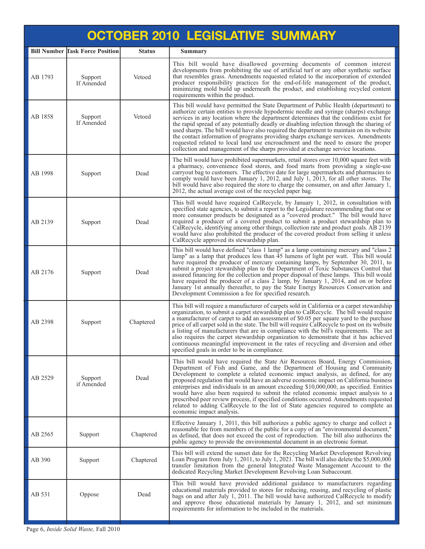| <b>OCTOBER 2010 LEGISLATIVE SUMMARY</b> |                                        |               |                                                                                                                                                                                                                                                                                                                                                                                                                                                                                                                                                                                                                                                                                                                                      |  |  |  |
|-----------------------------------------|----------------------------------------|---------------|--------------------------------------------------------------------------------------------------------------------------------------------------------------------------------------------------------------------------------------------------------------------------------------------------------------------------------------------------------------------------------------------------------------------------------------------------------------------------------------------------------------------------------------------------------------------------------------------------------------------------------------------------------------------------------------------------------------------------------------|--|--|--|
|                                         | <b>Bill Number Task Force Position</b> | <b>Status</b> | <b>Summary</b>                                                                                                                                                                                                                                                                                                                                                                                                                                                                                                                                                                                                                                                                                                                       |  |  |  |
| AB 1793                                 | Support<br>If Amended                  | Vetoed        | This bill would have disallowed governing documents of common interest<br>developments from prohibiting the use of artificial turf or any other synthetic surface<br>that resembles grass. Amendments requested related to the incorporation of extended<br>producer responsibility practices for the end-of-life management of the product,<br>minimizing mold build up underneath the product, and establishing recycled content<br>requirements within the product.                                                                                                                                                                                                                                                               |  |  |  |
| AB 1858                                 | Support<br>If Amended                  | Vetoed        | This bill would have permitted the State Department of Public Health (department) to<br>authorize certain entities to provide hypodermic needle and syringe (sharps) exchange<br>services in any location where the department determines that the conditions exist for<br>the rapid spread of any potentially deadly or disabling infection through the sharing of<br>used sharps. The bill would have also required the department to maintain on its website<br>the contact information of programs providing sharps exchange services. Amendments<br>requested related to local land use encroachment and the need to ensure the proper<br>collection and management of the sharps provided at exchange service locations.       |  |  |  |
| AB 1998                                 | Support                                | Dead          | The bill would have prohibited supermarkets, retail stores over 10,000 square feet with<br>a pharmacy, convenience food stores, and food marts from providing a single-use<br>carryout bag to customers. The effective date for large supermarkets and pharmacies to<br>comply would have been January 1, 2012, and July 1, 2013, for all other stores. The<br>bill would have also required the store to charge the consumer, on and after January 1,<br>2012, the actual average cost of the recycled paper bag.                                                                                                                                                                                                                   |  |  |  |
| AB 2139                                 | Support                                | Dead          | This bill would have required CalRecycle, by January 1, 2012, in consultation with<br>specified state agencies, to submit a report to the Legislature recommending that one or<br>more consumer products be designated as a "covered product." The bill would have<br>required a producer of a covered product to submit a product stewardship plan to<br>CalRecycle, identifying among other things, collection rate and product goals. AB 2139<br>would have also prohibited the producer of the covered product from selling it unless<br>CalRecycle approved its stewardship plan.                                                                                                                                               |  |  |  |
| AB 2176                                 | Support                                | Dead          | This bill would have defined "class 1 lamp" as a lamp containing mercury and "class 2<br>lamp" as a lamp that produces less than 45 lumens of light per watt. This bill would<br>have required the producer of mercury containing lamps, by September 30, 2011, to<br>submit a project stewardship plan to the Department of Toxic Substances Control that<br>assured financing for the collection and proper disposal of these lamps. This bill would<br>have required the producer of a class 2 lamp, by January 1, 2014, and on or before<br>January 1st annually thereafter, to pay the State Energy Resources Conservation and<br>Development Commission a fee for specified research.                                          |  |  |  |
| AB 2398                                 | Support                                | Chaptered     | This bill will require a manufacturer of carpets sold in California or a carpet stewardship<br>organization, to submit a carpet stewardship plan to CalRecycle. The bill would require<br>a manufacturer of carpet to add an assessment of \$0.05 per square yard to the purchase<br>price of all carpet sold in the state. The bill will require CalRecycle to post on its website<br>a listing of manufacturers that are in compliance with the bill's requirements. The act<br>also requires the carpet stewardship organization to demonstrate that it has achieved<br>continuous meaningful improvement in the rates of recycling and diversion and other<br>specified goals in order to be in compliance.                      |  |  |  |
| AB 2529                                 | Support<br>if Amended                  | Dead          | This bill would have required the State Air Resources Board, Energy Commission,<br>Department of Fish and Game, and the Department of Housing and Community<br>Development to complete a related economic impact analysis, as defined, for any<br>proposed regulation that would have an adverse economic impact on California business<br>enterprises and individuals in an amount exceeding \$10,000,000, as specified. Entities<br>would have also been required to submit the related economic impact analysis to a<br>prescribed peer review process, if specified conditions occurred. Amendments requested<br>related to adding CalRecycle to the list of State agencies required to complete an<br>economic impact analysis. |  |  |  |
| AB 2565                                 | Support                                | Chaptered     | Effective January 1, 2011, this bill authorizes a public agency to charge and collect a<br>reasonable fee from members of the public for a copy of an "environmental document,"<br>as defined, that does not exceed the cost of reproduction. The bill also authorizes the<br>public agency to provide the environmental document in an electronic format.                                                                                                                                                                                                                                                                                                                                                                           |  |  |  |
| AB 390                                  | Support                                | Chaptered     | This bill will extend the sunset date for the Recycling Market Development Revolving<br>Loan Program from July 1, 2011, to July 1, 2021. The bill will also delete the \$5,000,000<br>transfer limitation from the general Integrated Waste Management Account to the<br>dedicated Recycling Market Development Revolving Loan Subaccount.                                                                                                                                                                                                                                                                                                                                                                                           |  |  |  |
| AB 531                                  | Oppose                                 | Dead          | This bill would have provided additional guidance to manufacturers regarding<br>educational materials provided to stores for reducing, reusing, and recycling of plastic<br>bags on and after July 1, 2011. The bill would have authorized CalRecycle to modify<br>and approve those educational materials by January 1, 2012, and set minimum<br>requirements for information to be included in the materials.                                                                                                                                                                                                                                                                                                                      |  |  |  |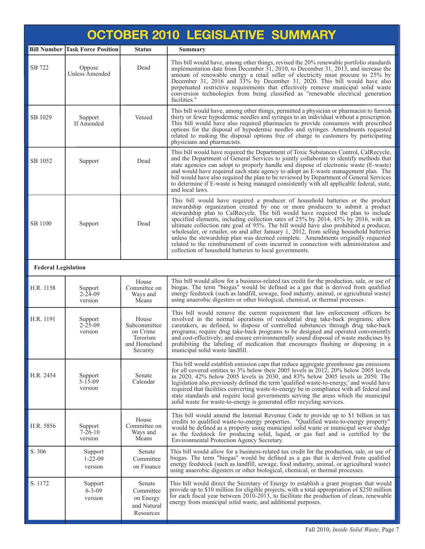| <b>OCTOBER 2010 LEGISLATIVE SUMMARY</b> |                                     |                                                                           |                                                                                                                                                                                                                                                                                                                                                                                                                                                                                                                                                                                                                                                                                                                                                                       |  |  |  |
|-----------------------------------------|-------------------------------------|---------------------------------------------------------------------------|-----------------------------------------------------------------------------------------------------------------------------------------------------------------------------------------------------------------------------------------------------------------------------------------------------------------------------------------------------------------------------------------------------------------------------------------------------------------------------------------------------------------------------------------------------------------------------------------------------------------------------------------------------------------------------------------------------------------------------------------------------------------------|--|--|--|
| <b>Bill Number</b>                      | <b>Task Force Position</b>          | <b>Status</b>                                                             | <b>Summary</b>                                                                                                                                                                                                                                                                                                                                                                                                                                                                                                                                                                                                                                                                                                                                                        |  |  |  |
| SB 722                                  | Oppose<br><b>Unless Amended</b>     | Dead                                                                      | This bill would have, among other things, revised the 20% renewable portfolio standards<br>implementation date from December 31, 2010, to December 31, 2013, and increase the<br>amount of renewable energy a retail seller of electricity must procure to 25% by<br>December 31, 2016 and 33% by December 31, 2020. This bill would have also<br>perpetuated restrictive requirements that effectively remove municipal solid waste<br>conversion technologies from being classified as "renewable electrical generation<br>facilities."                                                                                                                                                                                                                             |  |  |  |
| SB 1029                                 | Support<br>If Amended               | Vetoed                                                                    | This bill would have, among other things, permitted a physician or pharmacist to furnish<br>thirty or fewer hypodermic needles and syringes to an individual without a prescription.<br>This bill would have also required pharmacies to provide consumers with prescribed<br>options for the disposal of hypodermic needles and syringes. Amendments requested<br>related to making the disposal options free of charge to customers by participating<br>physicians and pharmacists.                                                                                                                                                                                                                                                                                 |  |  |  |
| SB 1052                                 | Support                             | Dead                                                                      | This bill would have required the Department of Toxic Substances Control, CalRecycle,<br>and the Department of General Services to jointly collaborate to identify methods that<br>state agencies can adopt to properly handle and dispose of electronic waste (E-waste)<br>and would have required each state agency to adopt an E-waste management plan. The<br>bill would have also required the plan to be reviewed by Department of General Services<br>to determine if E-waste is being managed consistently with all applicable federal, state,<br>and local laws.                                                                                                                                                                                             |  |  |  |
| SB 1100                                 | Support                             | Dead                                                                      | This bill would have required a producer of household batteries or the product<br>stewardship organization created by one or more producers to submit a product<br>stewardship plan to CalRecycle. The bill would have required the plan to include<br>specified elements, including collection rates of 25% by 2014, 45% by 2016, with an<br>ultimate collection rate goal of 95%. The bill would have also prohibited a producer,<br>wholesaler, or retailer, on and after January 1, 2012, from selling household batteries<br>unless the stewardship plan was deemed complete. Amendments originally requested<br>related to the reimbursement of costs incurred in connection with administration and<br>collection of household batteries to local governments. |  |  |  |
| <b>Federal Legislation</b>              |                                     |                                                                           |                                                                                                                                                                                                                                                                                                                                                                                                                                                                                                                                                                                                                                                                                                                                                                       |  |  |  |
| H.R. 1158                               | Support<br>$2 - 24 - 09$<br>version | House<br>Committee on<br>Ways and<br>Means                                | This bill would allow for a business-related tax credit for the production, sale, or use of<br>biogas. The term "biogas" would be defined as a gas that is derived from qualified<br>energy feedstock (such as landfill, sewage, food industry, animal, or agricultural waste)<br>using anaerobic digesters or other biological, chemical, or thermal processes.                                                                                                                                                                                                                                                                                                                                                                                                      |  |  |  |
| H.R. 1191                               | Support<br>$2 - 25 - 09$<br>version | House<br>Subcommittee<br>on Crime<br>Terorism<br>and Homeland<br>Security | This bill would remove the current requirement that law enforcement officers be<br>involved in the normal operations of residential drug take-back programs; allow<br>caretakers, as defined, to dispose of controlled substances through drug take-back<br>programs; require drug take-back programs to be designed and operated conveniently<br>and cost-effectively; and ensure environmentally sound disposal of waste medicines by<br>prohibiting the labeling of medication that encourages flushing or disposing in a<br>municipal solid waste landfill.                                                                                                                                                                                                       |  |  |  |
| H.R. 2454                               | Support<br>$5 - 15 - 09$<br>version | Senate<br>Calendar                                                        | This bill would establish emission caps that reduce aggregate greenhouse gas emissions<br>for all covered entities to 3% below their 2005 levels in 2012, 20% below 2005 levels<br>in 2020, 42% below 2005 levels in 2030, and 83% below 2005 levels in 2050. The<br>legislation also previously defined the term 'qualified waste-to-energy,' and would have<br>required that facilities converting waste-to-energy be in compliance with all federal and<br>state standards and require local governments serving the areas which the municipal<br>solid waste for waste-to-energy is generated offer recycling services.                                                                                                                                           |  |  |  |
| H.R. 5856                               | Support<br>$7 - 26 - 10$<br>version | House<br>Committee on<br>Ways and<br>Means                                | This bill would amend the Internal Revenue Code to provide up to \$1 billion in tax<br>credits to qualified waste-to-energy properties. "Qualified waste-to-energy property"<br>would be defined as a property using municipal solid waste or municipal sewer sludge<br>as the feedstock for producing solid, liquid, or gas fuel and is certified by the<br>Environmental Protection Agency Secretary.                                                                                                                                                                                                                                                                                                                                                               |  |  |  |
| S. 306                                  | Support<br>$1 - 22 - 09$<br>version | Senate<br>Committee<br>on Finance                                         | This bill would allow for a business-related tax credit for the production, sale, or use of<br>biogas. The term "biogas" would be defined as a gas that is derived from qualified<br>energy feedstock (such as landfill, sewage, food industry, animal, or agricultural waste)<br>using anaerobic digesters or other biological, chemical, or thermal processes.                                                                                                                                                                                                                                                                                                                                                                                                      |  |  |  |
| S. 1172                                 | Support<br>$6 - 3 - 09$<br>version  | Senate<br>Committee<br>on Energy<br>and Natural<br>Resources              | This bill would direct the Secretary of Energy to establish a grant program that would<br>provide up to \$10 million for eligible projects, with a total appropriation of \$250 million<br>for each fiscal year between 2010-2013, to facilitate the production of clean, renewable<br>energy from municipal solid waste, and additional purposes.                                                                                                                                                                                                                                                                                                                                                                                                                    |  |  |  |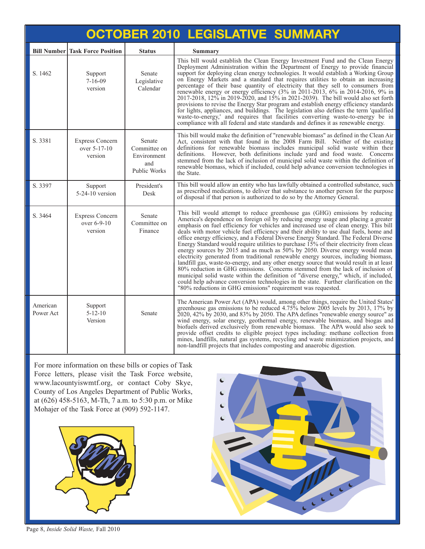| <b>OCTOBER 2010 LEGISLATIVE SUMMARY</b> |                                                   |                                                              |                                                                                                                                                                                                                                                                                                                                                                                                                                                                                                                                                                                                                                                                                                                                                                                                                                                                                                                                                                                                                                                                                                                                                |  |  |  |  |
|-----------------------------------------|---------------------------------------------------|--------------------------------------------------------------|------------------------------------------------------------------------------------------------------------------------------------------------------------------------------------------------------------------------------------------------------------------------------------------------------------------------------------------------------------------------------------------------------------------------------------------------------------------------------------------------------------------------------------------------------------------------------------------------------------------------------------------------------------------------------------------------------------------------------------------------------------------------------------------------------------------------------------------------------------------------------------------------------------------------------------------------------------------------------------------------------------------------------------------------------------------------------------------------------------------------------------------------|--|--|--|--|
|                                         | <b>Bill Number Task Force Position</b>            | <b>Status</b>                                                | Summary                                                                                                                                                                                                                                                                                                                                                                                                                                                                                                                                                                                                                                                                                                                                                                                                                                                                                                                                                                                                                                                                                                                                        |  |  |  |  |
| S. 1462                                 | Support<br>$7 - 16 - 09$<br>version               | Senate<br>Legislative<br>Calendar                            | This bill would establish the Clean Energy Investment Fund and the Clean Energy<br>Deployment Administration within the Department of Energy to provide financial<br>support for deploying clean energy technologies. It would establish a Working Group<br>on Energy Markets and a standard that requires utilities to obtain an increasing<br>percentage of their base quantity of electricity that they sell to consumers from<br>renewable energy or energy efficiency (3% in 2011-2013, 6% in 2014-2016, 9% in<br>2017-2018, 12% in 2019-2020, and 15% in 2021-2039). The bill would also set forth<br>provisions to revise the Energy Star program and establish energy efficiency standards<br>for lights, appliances, and buildings. The legislation also defines the term 'qualified<br>waste-to-energy,' and requires that facilities converting waste-to-energy be in<br>compliance with all federal and state standards and defines it as renewable energy.                                                                                                                                                                        |  |  |  |  |
| S. 3381                                 | <b>Express Concern</b><br>over 5-17-10<br>version | Senate<br>Committee on<br>Environment<br>and<br>Public Works | This bill would make the definition of "renewable biomass" as defined in the Clean Air<br>Act, consistent with that found in the 2008 Farm Bill. Neither of the existing<br>definitions for renewable biomass includes municipal solid waste within their<br>definitions. However, both definitions include yard and food waste. Concerns<br>stemmed from the lack of inclusion of municipal solid waste within the definition of<br>renewable biomass, which if included, could help advance conversion technologies in<br>the State.                                                                                                                                                                                                                                                                                                                                                                                                                                                                                                                                                                                                         |  |  |  |  |
| S. 3397                                 | Support<br>$5-24-10$ version                      | President's<br>Desk                                          | This bill would allow an entity who has lawfully obtained a controlled substance, such<br>as prescribed medications, to deliver that substance to another person for the purpose<br>of disposal if that person is authorized to do so by the Attorney General.                                                                                                                                                                                                                                                                                                                                                                                                                                                                                                                                                                                                                                                                                                                                                                                                                                                                                 |  |  |  |  |
| S. 3464                                 | <b>Express Concern</b><br>over 6-9-10<br>version  | Senate<br>Committee on<br>Finance                            | This bill would attempt to reduce greenhouse gas (GHG) emissions by reducing<br>America's dependence on foreign oil by reducing energy usage and placing a greater<br>emphasis on fuel efficiency for vehicles and increased use of clean energy. This bill<br>deals with motor vehicle fuel efficiency and their ability to use dual fuels, home and<br>office energy efficiency, and a Federal Diverse Energy Standard. The Federal Diverse<br>Energy Standard would require utilities to purchase 15% of their electricity from clean<br>energy sources by 2015 and as much as 50% by 2050. Diverse energy would mean<br>electricity generated from traditional renewable energy sources, including biomass,<br>landfill gas, waste-to-energy, and any other energy source that would result in at least<br>80% reduction in GHG emissions. Concerns stemmed from the lack of inclusion of<br>municipal solid waste within the definition of "diverse energy," which, if included,<br>could help advance conversion technologies in the state. Further clarification on the<br>"80% reductions in GHG emissions" requirement was requested. |  |  |  |  |
| American<br>Power Act                   | Support<br>$5 - 12 - 10$<br>Version               | Senate                                                       | The American Power Act (APA) would, among other things, require the United States'<br>greenhouse gas emissions to be reduced $4.75\%$ below 2005 levels by 2013, 17% by<br>2020, 42% by 2030, and 83% by 2050. The APA defines "renewable energy source" as<br>wind energy, solar energy, geothermal energy, renewable biomass, and biogas and<br>biofuels derived exclusively from renewable biomass. The APA would also seek to<br>provide offset credits to eligible project types including: methane collection from<br>mines, landfills, natural gas systems, recycling and waste minimization projects, and<br>non-landfill projects that includes composting and anaerobic digestion.                                                                                                                                                                                                                                                                                                                                                                                                                                                   |  |  |  |  |

For more information on these bills or copies of Task [Force letters, please visit](http://dpw.lacounty.gov/epd/tf/) the Task Force website, www.lacountyiswmtf.org, or contact Coby Skye, County of Los Angeles Department of Public Works, at (626) 458-5163, M-Th, 7 a.m. to 5:30 p.m. or Mike Mohajer of the Task Force at (909) 592-1147.





Page 8, *Inside Solid Waste,* Fall 2010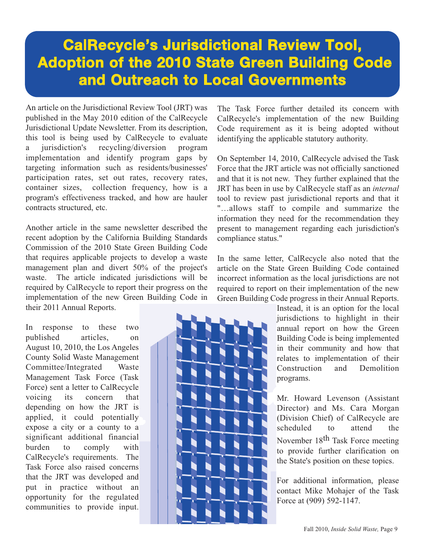### **CalRecycle's Jurisdictional Review Tool, Adoption of the 2010 State Green Building Code and Outreach to Local Governments**

An article on the Jurisdictional Review Tool (JRT) was published in the May 2010 edition of the CalRecycle Jurisdictional Update Newsletter. From its description, this tool is being used by CalRecycle to evaluate a jurisdiction's recycling/diversion program implementation and identify program gaps by targeting information such as residents/businesses' participation rates, set out rates, recovery rates, container sizes, collection frequency, how is a program's effectiveness tracked, and how are hauler contracts structured, etc.

Another article in the same newsletter described the recent adoption by the California Building Standards Commission of the 2010 State Green Building Code that requires applicable projects to develop a waste management plan and divert 50% of the project's waste. The article indicated jurisdictions will be required by CalRecycle to report their progress on the implementation of the new Green Building Code in their 2011 Annual Reports.

In response to these two published articles, on August 10, 2010, the Los Angeles County Solid Waste Management Committee/Integrated Waste Management Task Force (Task Force) sent a letter to CalRecycle voicing its concern that depending on how the JRT is applied, it could potentially expose a city or a county to a significant additional financial burden to comply with CalRecycle's requirements. The Task Force also raised concerns that the JRT was developed and put in practice without an opportunity for the regulated communities to provide input.

The Task Force further detailed its concern with CalRecycle's implementation of the new Building Code requirement as it is being adopted without identifying the applicable statutory authority.

On September 14, 2010, CalRecycle advised the Task Force that the JRT article was not officially sanctioned and that it is not new. They further explained that the JRT has been in use by CalRecycle staff as an *internal* tool to review past jurisdictional reports and that it "…allows staff to compile and summarize the information they need for the recommendation they present to management regarding each jurisdiction's compliance status."

In the same letter, CalRecycle also noted that the article on the State Green Building Code contained incorrect information as the local jurisdictions are not required to report on their implementation of the new Green Building Code progress in their Annual Reports.

> Instead, it is an option for the local jurisdictions to highlight in their annual report on how the Green Building Code is being implemented in their community and how that relates to implementation of their Construction and Demolition programs.

> Mr. Howard Levenson (Assistant Director) and Ms. Cara Morgan (Division Chief) of CalRecycle are scheduled to attend the November 18th Task Force meeting to provide further clarification on the State's position on these topics.

> For additional information, please contact Mike Mohajer of the Task Force at (909) 592-1147.

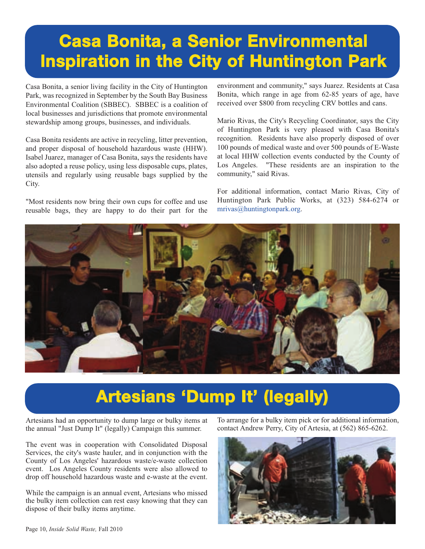# **[Casa Bonita, a Senior Environmental](http://www.huntingtonpark.org/) Inspiration in the City of Huntington Park**

Casa Bonita, a senior living facility in the City of Huntington Park, was recognized in September by the South Bay Business Environmental Coalition (SBBEC). SBBEC is a coalition of local businesses and jurisdictions that promote environmental stewardship among groups, businesses, and individuals.

Casa Bonita residents are active in recycling, litter prevention, and proper disposal of household hazardous waste (HHW). Isabel Juarez, manager of Casa Bonita, says the residents have also adopted a reuse policy, using less disposable cups, plates, utensils and regularly using reusable bags supplied by the City.

"Most residents now bring their own cups for coffee and use reusable bags, they are happy to do their part for the environment and community," says Juarez. Residents at Casa Bonita, which range in age from 62-85 years of age, have received over \$800 from recycling CRV bottles and cans.

Mario Rivas, the City's Recycling Coordinator, says the City of Huntington Park is very pleased with Casa Bonita's recognition. Residents have also properly disposed of over 100 pounds of medical waste and over 500 pounds of E-Waste at local HHW collection events conducted by the County of Los Angeles. "These residents are an inspiration to the community," said Rivas.

For additional information, contact Mario Rivas, City of Huntington Park Public Works, at (323) 584-6274 or [mrivas@huntingtonpark.org](mailto://mrivas@huntingtonpark.org).



## **[Artesians 'Dump It' \(legally\)](http://www.cityofartesia.us/)**

Artesians had an opportunity to dump large or bulky items at the annual "Just Dump It" (legally) Campaign this summer.

The event was in cooperation with Consolidated Disposal Services, the city's waste hauler, and in conjunction with the County of Los Angeles' hazardous waste/e-waste collection event. Los Angeles County residents were also allowed to drop off household hazardous waste and e-waste at the event.

While the campaign is an annual event, Artesians who missed the bulky item collection can rest easy knowing that they can dispose of their bulky items anytime.

To arrange for a bulky item pick or for additional information, contact Andrew Perry, City of Artesia, at (562) 865-6262.

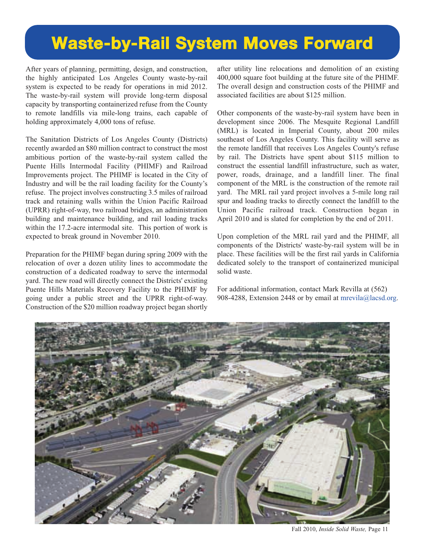## **Waste-by-Rail System Moves Forward**

After years of planning, permitting, design, and construction, the highly anticipated Los Angeles County waste-by-rail system is expected to be ready for operations in mid 2012. The waste-by-rail system will provide long-term disposal capacity by transporting containerized refuse from the County to remote landfills via mile-long trains, each capable of holding approximately 4,000 tons of refuse.

The Sanitation Districts of Los Angeles County (Districts) recently awarded an \$80 million contract to construct the most ambitious portion of the waste-by-rail system called the Puente Hills Intermodal Facility (PHIMF) and Railroad Improvements project. The PHIMF is located in the City of Industry and will be the rail loading facility for the County's refuse. The project involves constructing 3.5 miles of railroad track and retaining walls within the Union Pacific Railroad (UPRR) right-of-way, two railroad bridges, an administration building and maintenance building, and rail loading tracks within the 17.2-acre intermodal site. This portion of work is expected to break ground in November 2010.

Preparation for the PHIMF began during spring 2009 with the relocation of over a dozen utility lines to accommodate the construction of a dedicated roadway to serve the intermodal yard. The new road will directly connect the Districts' existing Puente Hills Materials Recovery Facility to the PHIMF by going under a public street and the UPRR right-of-way. Construction of the \$20 million roadway project began shortly after utility line relocations and demolition of an existing 400,000 square foot building at the future site of the PHIMF. The overall design and construction costs of the PHIMF and associated facilities are about \$125 million.

Other components of the waste-by-rail system have been in development since 2006. The Mesquite Regional Landfill (MRL) is located in Imperial County, about 200 miles southeast of Los Angeles County. This facility will serve as the remote landfill that receives Los Angeles County's refuse by rail. The Districts have spent about \$115 million to construct the essential landfill infrastructure, such as water, power, roads, drainage, and a landfill liner. The final component of the MRL is the construction of the remote rail yard. The MRL rail yard project involves a 5-mile long rail spur and loading tracks to directly connect the landfill to the Union Pacific railroad track. Construction began in April 2010 and is slated for completion by the end of 2011.

Upon completion of the MRL rail yard and the PHIMF, all components of the Districts' waste-by-rail system will be in place. These facilities will be the first rail yards in California dedicated solely to the transport of containerized municipal solid waste.

For additional information, contact Ma[rk Revilla at \(562\)](mailto://mrevila@lacsd.org) 908-4288, Extension 2448 or by email at mrevila@lacsd.org.



Fall 2010, *Inside Solid Waste,* Page 11